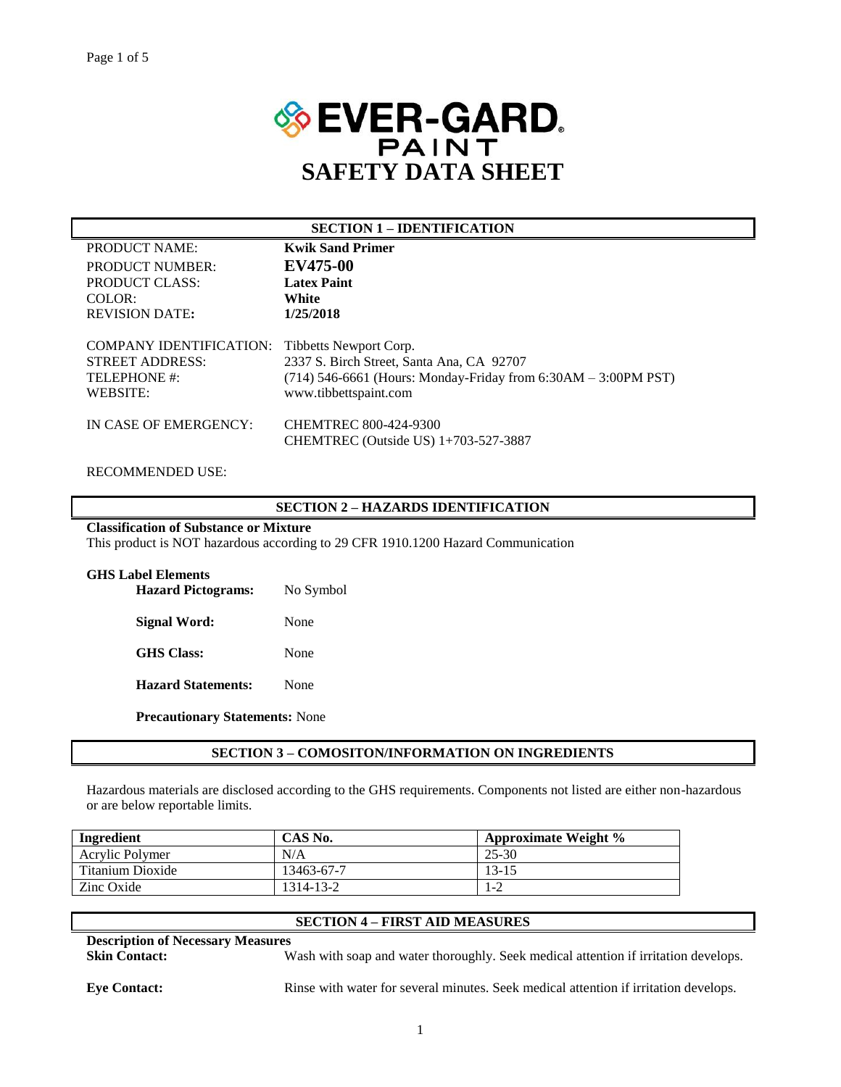

|                                                                               | <b>SECTION 1 – IDENTIFICATION</b>                                                                                                                                |
|-------------------------------------------------------------------------------|------------------------------------------------------------------------------------------------------------------------------------------------------------------|
| PRODUCT NAME:                                                                 | <b>Kwik Sand Primer</b>                                                                                                                                          |
| <b>PRODUCT NUMBER:</b>                                                        | EV475-00                                                                                                                                                         |
| PRODUCT CLASS:                                                                | <b>Latex Paint</b>                                                                                                                                               |
| $COLOR$ :                                                                     | White                                                                                                                                                            |
| <b>REVISION DATE:</b>                                                         | 1/25/2018                                                                                                                                                        |
| COMPANY IDENTIFICATION:<br><b>STREET ADDRESS:</b><br>TELEPHONE #:<br>WEBSITE: | Tibbetts Newport Corp.<br>2337 S. Birch Street, Santa Ana, CA 92707<br>$(714)$ 546-6661 (Hours: Monday-Friday from 6:30AM – 3:00PM PST)<br>www.tibbettspaint.com |
| IN CASE OF EMERGENCY:                                                         | CHEMTREC 800-424-9300<br>CHEMTREC (Outside US) 1+703-527-3887                                                                                                    |

## RECOMMENDED USE:

## **SECTION 2 – HAZARDS IDENTIFICATION**

# **Classification of Substance or Mixture**

This product is NOT hazardous according to 29 CFR 1910.1200 Hazard Communication

| <b>GHS Label Elements</b><br><b>Hazard Pictograms:</b> | No Symbol |  |
|--------------------------------------------------------|-----------|--|
| <b>Signal Word:</b>                                    | None      |  |
| <b>GHS</b> Class:                                      | None      |  |
| <b>Hazard Statements:</b>                              | None      |  |
|                                                        |           |  |

**Precautionary Statements:** None

### **SECTION 3 – COMOSITON/INFORMATION ON INGREDIENTS**

Hazardous materials are disclosed according to the GHS requirements. Components not listed are either non-hazardous or are below reportable limits.

| Ingredient       | CAS No.    | <b>Approximate Weight %</b> |
|------------------|------------|-----------------------------|
| Acrylic Polymer  | N/A        | 25-30                       |
| Titanium Dioxide | 13463-67-7 | $13 - 15$                   |
| Zinc Oxide       | 1314-13-2  | 1-2                         |

# **SECTION 4 – FIRST AID MEASURES**

**Description of Necessary Measures**

**Skin Contact:** Wash with soap and water thoroughly. Seek medical attention if irritation develops.

**Eye Contact:** Rinse with water for several minutes. Seek medical attention if irritation develops.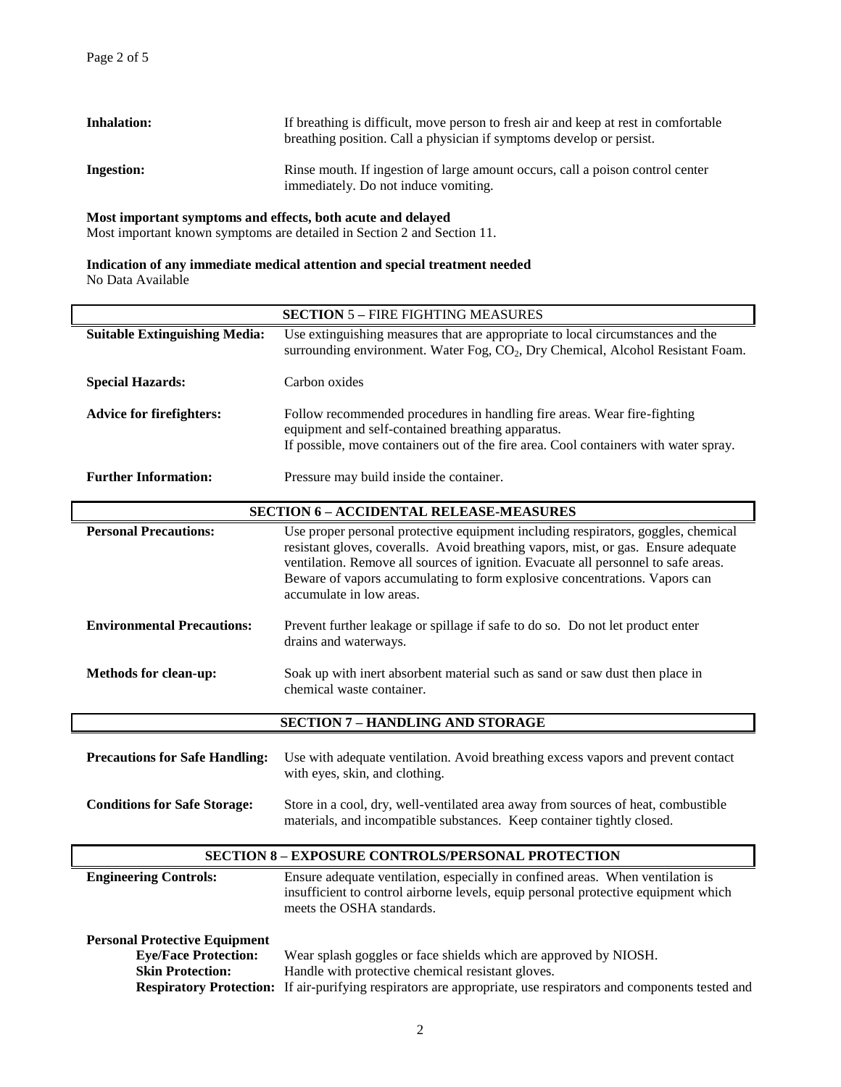| <b>Inhalation:</b> | If breathing is difficult, move person to fresh air and keep at rest in comfortable<br>breathing position. Call a physician if symptoms develop or persist. |
|--------------------|-------------------------------------------------------------------------------------------------------------------------------------------------------------|
| <b>Ingestion:</b>  | Rinse mouth. If ingestion of large amount occurs, call a poison control center<br>immediately. Do not induce vomiting.                                      |

### **Most important symptoms and effects, both acute and delayed**

Most important known symptoms are detailed in Section 2 and Section 11.

# **Indication of any immediate medical attention and special treatment needed** No Data Available

|                                                                                                                                  | <b>SECTION 5 - FIRE FIGHTING MEASURES</b>                                                                                                                                                                                                                                                                                                                               |  |  |  |
|----------------------------------------------------------------------------------------------------------------------------------|-------------------------------------------------------------------------------------------------------------------------------------------------------------------------------------------------------------------------------------------------------------------------------------------------------------------------------------------------------------------------|--|--|--|
| <b>Suitable Extinguishing Media:</b>                                                                                             | Use extinguishing measures that are appropriate to local circumstances and the<br>surrounding environment. Water Fog, CO <sub>2</sub> , Dry Chemical, Alcohol Resistant Foam.                                                                                                                                                                                           |  |  |  |
| <b>Special Hazards:</b>                                                                                                          | Carbon oxides                                                                                                                                                                                                                                                                                                                                                           |  |  |  |
| <b>Advice for firefighters:</b>                                                                                                  | Follow recommended procedures in handling fire areas. Wear fire-fighting<br>equipment and self-contained breathing apparatus.<br>If possible, move containers out of the fire area. Cool containers with water spray.                                                                                                                                                   |  |  |  |
| <b>Further Information:</b>                                                                                                      | Pressure may build inside the container.                                                                                                                                                                                                                                                                                                                                |  |  |  |
|                                                                                                                                  | <b>SECTION 6 - ACCIDENTAL RELEASE-MEASURES</b>                                                                                                                                                                                                                                                                                                                          |  |  |  |
| <b>Personal Precautions:</b>                                                                                                     | Use proper personal protective equipment including respirators, goggles, chemical<br>resistant gloves, coveralls. Avoid breathing vapors, mist, or gas. Ensure adequate<br>ventilation. Remove all sources of ignition. Evacuate all personnel to safe areas.<br>Beware of vapors accumulating to form explosive concentrations. Vapors can<br>accumulate in low areas. |  |  |  |
| <b>Environmental Precautions:</b>                                                                                                | Prevent further leakage or spillage if safe to do so. Do not let product enter<br>drains and waterways.                                                                                                                                                                                                                                                                 |  |  |  |
| <b>Methods for clean-up:</b>                                                                                                     | Soak up with inert absorbent material such as sand or saw dust then place in<br>chemical waste container.                                                                                                                                                                                                                                                               |  |  |  |
|                                                                                                                                  | <b>SECTION 7 - HANDLING AND STORAGE</b>                                                                                                                                                                                                                                                                                                                                 |  |  |  |
| <b>Precautions for Safe Handling:</b>                                                                                            | Use with adequate ventilation. Avoid breathing excess vapors and prevent contact<br>with eyes, skin, and clothing.                                                                                                                                                                                                                                                      |  |  |  |
| <b>Conditions for Safe Storage:</b>                                                                                              | Store in a cool, dry, well-ventilated area away from sources of heat, combustible<br>materials, and incompatible substances. Keep container tightly closed.                                                                                                                                                                                                             |  |  |  |
| <b>SECTION 8 - EXPOSURE CONTROLS/PERSONAL PROTECTION</b>                                                                         |                                                                                                                                                                                                                                                                                                                                                                         |  |  |  |
| <b>Engineering Controls:</b>                                                                                                     | Ensure adequate ventilation, especially in confined areas. When ventilation is<br>insufficient to control airborne levels, equip personal protective equipment which<br>meets the OSHA standards.                                                                                                                                                                       |  |  |  |
| <b>Personal Protective Equipment</b><br><b>Eye/Face Protection:</b><br><b>Skin Protection:</b><br><b>Respiratory Protection:</b> | Wear splash goggles or face shields which are approved by NIOSH.<br>Handle with protective chemical resistant gloves.<br>If air-purifying respirators are appropriate, use respirators and components tested and                                                                                                                                                        |  |  |  |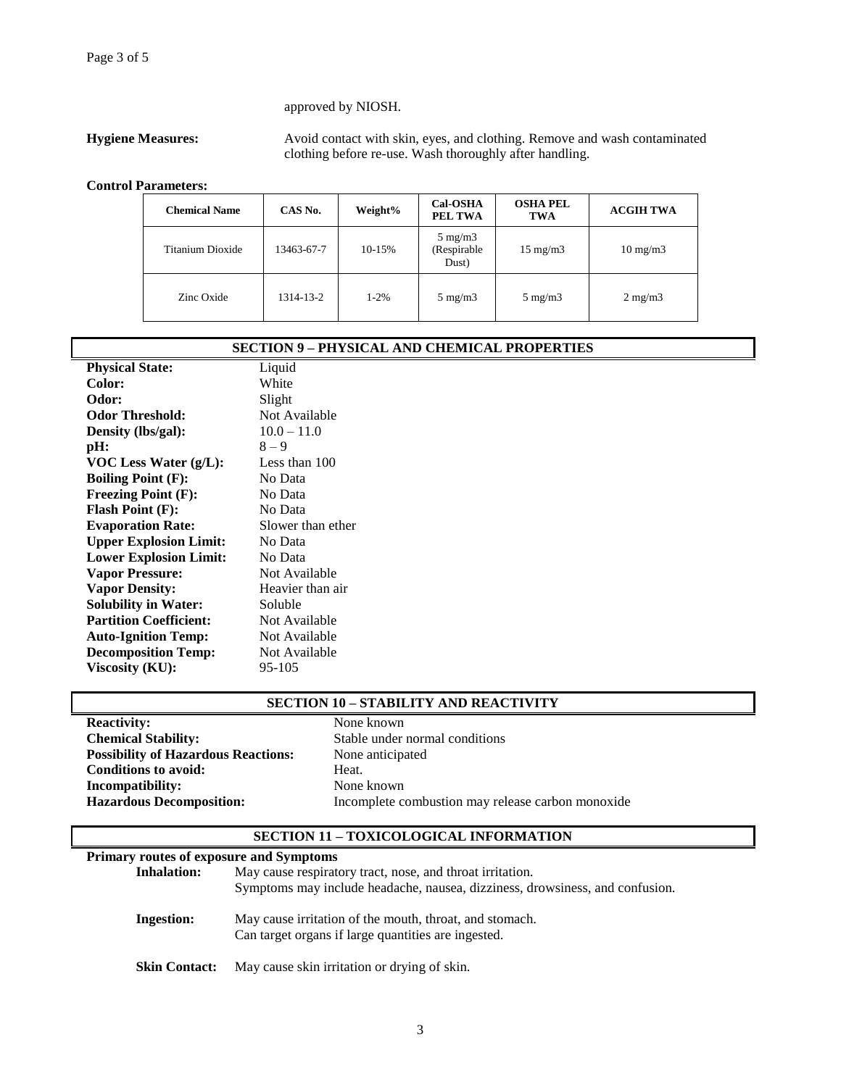# approved by NIOSH.

**Hygiene Measures:** Avoid contact with skin, eyes, and clothing. Remove and wash contaminated clothing before re-use. Wash thoroughly after handling.

### **Control Parameters:**

| <b>Chemical Name</b> | CAS No.    | Weight%   | <b>Cal-OSHA</b><br>PEL TWA               | <b>OSHA PEL</b><br><b>TWA</b> | <b>ACGIH TWA</b>  |
|----------------------|------------|-----------|------------------------------------------|-------------------------------|-------------------|
| Titanium Dioxide     | 13463-67-7 | 10-15%    | $5 \text{ mg/m}$<br>(Respirable<br>Dust) | $15 \text{ mg/m}$             | $10 \text{ mg/m}$ |
| Zinc Oxide           | 1314-13-2  | $1 - 2\%$ | $5 \text{ mg/m}$                         | $5 \text{ mg/m}$              | $2 \text{ mg/m}$  |

|                               | <b>SECTION 9 – PHYSICAL AND CHEMICAL PROPERTIES</b> |
|-------------------------------|-----------------------------------------------------|
| <b>Physical State:</b>        | Liquid                                              |
| Color:                        | White                                               |
| Odor:                         | Slight                                              |
| <b>Odor Threshold:</b>        | Not Available                                       |
| Density (lbs/gal):            | $10.0 - 11.0$                                       |
| pH:                           | $8 - 9$                                             |
| VOC Less Water $(g/L)$ :      | Less than 100                                       |
| <b>Boiling Point (F):</b>     | No Data                                             |
| <b>Freezing Point (F):</b>    | No Data                                             |
| <b>Flash Point (F):</b>       | No Data                                             |
| <b>Evaporation Rate:</b>      | Slower than ether                                   |
| <b>Upper Explosion Limit:</b> | No Data                                             |
| <b>Lower Explosion Limit:</b> | No Data                                             |
| <b>Vapor Pressure:</b>        | Not Available                                       |
| <b>Vapor Density:</b>         | Heavier than air                                    |
| <b>Solubility in Water:</b>   | Soluble                                             |
| <b>Partition Coefficient:</b> | Not Available                                       |
| <b>Auto-Ignition Temp:</b>    | Not Available                                       |
| <b>Decomposition Temp:</b>    | Not Available                                       |
| Viscosity (KU):               | 95-105                                              |

# **SECTION 10 – STABILITY AND REACTIVITY**

**Reactivity:** None known<br> **Chemical Stability:** Stable under **Possibility of Hazardous Reactions:** None anticipated **Conditions to avoid:** Heat. **Incompatibility:** None known

Stable under normal conditions **Hazardous Decomposition:** Incomplete combustion may release carbon monoxide

# **SECTION 11 – TOXICOLOGICAL INFORMATION**

| <b>Primary routes of exposure and Symptoms</b> |                                                                                                                                           |
|------------------------------------------------|-------------------------------------------------------------------------------------------------------------------------------------------|
| <b>Inhalation:</b>                             | May cause respiratory tract, nose, and throat irritation.<br>Symptoms may include headache, nausea, dizziness, drowsiness, and confusion. |
| Ingestion:                                     | May cause irritation of the mouth, throat, and stomach.<br>Can target organs if large quantities are ingested.                            |
| <b>Skin Contact:</b>                           | May cause skin irritation or drying of skin.                                                                                              |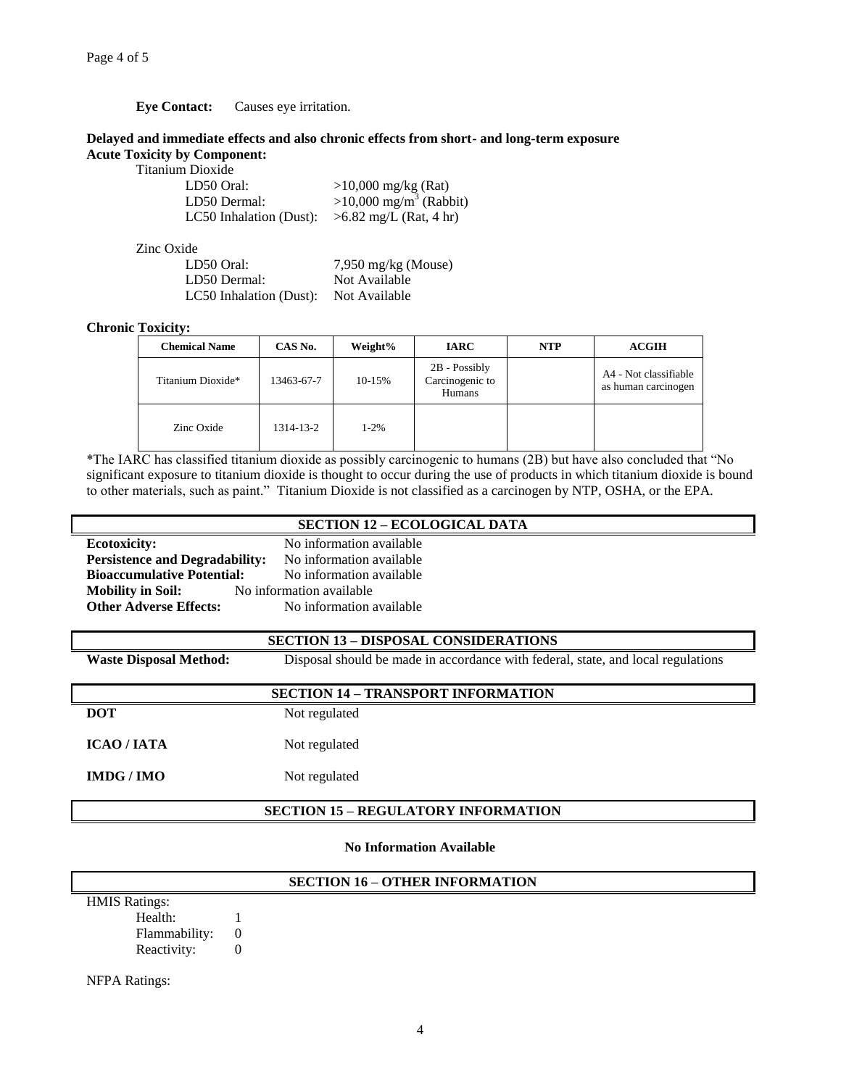# **Eye Contact:** Causes eye irritation.

### **Delayed and immediate effects and also chronic effects from short- and long-term exposure Acute Toxicity by Component:**

| <b>TOXICITY DY COMPON</b> |
|---------------------------|
| Titanium Dioxide          |

| Titanium Dioxide        |                                    |
|-------------------------|------------------------------------|
| LD50 Oral:              | $>10,000$ mg/kg (Rat)              |
| LD50 Dermal:            | >10,000 mg/m <sup>3</sup> (Rabbit) |
| LC50 Inhalation (Dust): | $>6.82$ mg/L (Rat, 4 hr)           |
|                         |                                    |
| Zinc Oxide              |                                    |
| LD50 Oral:              | $7,950$ mg/kg (Mouse)              |
| LD50 Dermal:            | Not Available                      |
| LC50 Inhalation (Dust): | Not Available                      |

# **Chronic Toxicity:**

| <b>Chemical Name</b> | CAS No.    | Weight%  | <b>IARC</b>                                  | <b>NTP</b> | <b>ACGIH</b>                                 |
|----------------------|------------|----------|----------------------------------------------|------------|----------------------------------------------|
| Titanium Dioxide*    | 13463-67-7 | 10-15%   | $2B - Possibly$<br>Carcinogenic to<br>Humans |            | A4 - Not classifiable<br>as human carcinogen |
| Zinc Oxide           | 1314-13-2  | $1 - 2%$ |                                              |            |                                              |

\*The IARC has classified titanium dioxide as possibly carcinogenic to humans (2B) but have also concluded that "No significant exposure to titanium dioxide is thought to occur during the use of products in which titanium dioxide is bound to other materials, such as paint." Titanium Dioxide is not classified as a carcinogen by NTP, OSHA, or the EPA.

|                                   | <b>SECTION 12 – ECOLOGICAL DATA</b>                            |
|-----------------------------------|----------------------------------------------------------------|
| <b>Ecotoxicity:</b>               | No information available                                       |
|                                   | <b>Persistence and Degradability:</b> No information available |
| <b>Bioaccumulative Potential:</b> | No information available                                       |
| <b>Mobility in Soil:</b>          | No information available                                       |
| <b>Other Adverse Effects:</b>     | No information available                                       |

| <b>SECTION 13 - DISPOSAL CONSIDERATIONS</b> |                                                                                  |  |
|---------------------------------------------|----------------------------------------------------------------------------------|--|
| <b>Waste Disposal Method:</b>               | Disposal should be made in accordance with federal, state, and local regulations |  |
| <b>SECTION 14 - TRANSPORT INFORMATION</b>   |                                                                                  |  |
| <b>DOT</b>                                  | Not regulated                                                                    |  |
| <b>ICAO/JATA</b>                            | Not regulated                                                                    |  |
| IMDG/IMO                                    | Not regulated                                                                    |  |
|                                             | <b>SECTION 15 - REGULATORY INFORMATION</b>                                       |  |

### **No Information Available**

| <b>SECTION 16 - OTHER INFORMATION</b> |  |  |
|---------------------------------------|--|--|
| <b>HMIS Ratings:</b>                  |  |  |
| Health:                               |  |  |
| Flammability:                         |  |  |
| Reactivity:                           |  |  |

NFPA Ratings: